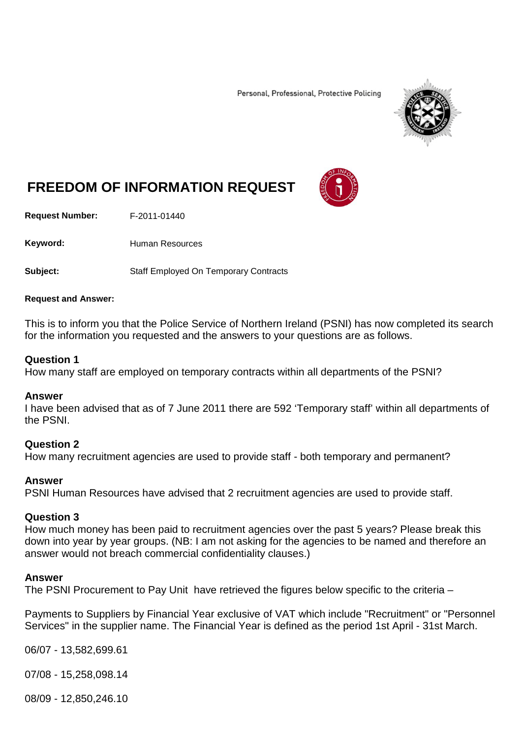Personal, Professional, Protective Policing



# **FREEDOM OF INFORMATION REQUEST**

**Request Number:** F-2011-01440

Keyword: Human Resources

**Subject:** Staff Employed On Temporary Contracts

#### **Request and Answer:**

This is to inform you that the Police Service of Northern Ireland (PSNI) has now completed its search for the information you requested and the answers to your questions are as follows.

### **Question 1**

How many staff are employed on temporary contracts within all departments of the PSNI?

### **Answer**

I have been advised that as of 7 June 2011 there are 592 'Temporary staff' within all departments of the PSNI.

### **Question 2**

How many recruitment agencies are used to provide staff - both temporary and permanent?

### **Answer**

PSNI Human Resources have advised that 2 recruitment agencies are used to provide staff.

### **Question 3**

How much money has been paid to recruitment agencies over the past 5 years? Please break this down into year by year groups. (NB: I am not asking for the agencies to be named and therefore an answer would not breach commercial confidentiality clauses.)

### **Answer**

The PSNI Procurement to Pay Unit have retrieved the figures below specific to the criteria –

Payments to Suppliers by Financial Year exclusive of VAT which include "Recruitment" or "Personnel Services" in the supplier name. The Financial Year is defined as the period 1st April - 31st March.

06/07 - 13,582,699.61

07/08 - 15,258,098.14

08/09 - 12,850,246.10